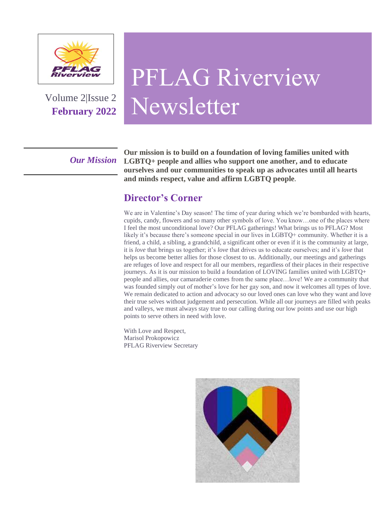

Volume 2|Issue 2 **February 2022**

# PFLAG Riverview Newsletter

*Our Mission*

**Our mission is to build on a foundation of loving families united with LGBTQ+ people and allies who support one another, and to educate ourselves and our communities to speak up as advocates until all hearts and minds respect, value and affirm LGBTQ people.**

### **Director's Corner**

We are in Valentine's Day season! The time of year during which we're bombarded with hearts, cupids, candy, flowers and so many other symbols of love. You know…one of the places where I feel the most unconditional love? Our PFLAG gatherings! What brings us to PFLAG? Most likely it's because there's someone special in our lives in LGBTQ+ community. Whether it is a friend, a child, a sibling, a grandchild, a significant other or even if it is the community at large, it is *love* that brings us together; it's *love* that drives us to educate ourselves; and it's *love* that helps us become better allies for those closest to us. Additionally, our meetings and gatherings are refuges of love and respect for all our members, regardless of their places in their respective journeys. As it is our mission to build a foundation of LOVING families united with LGBTQ+ people and allies, our camaraderie comes from the same place…love! We are a community that was founded simply out of mother's love for her gay son, and now it welcomes all types of love. We remain dedicated to action and advocacy so our loved ones can love who they want and love their true selves without judgement and persecution. While all our journeys are filled with peaks and valleys, we must always stay true to our calling during our low points and use our high points to serve others in need with love.

With Love and Respect, Marisol Prokopowicz PFLAG Riverview Secretary

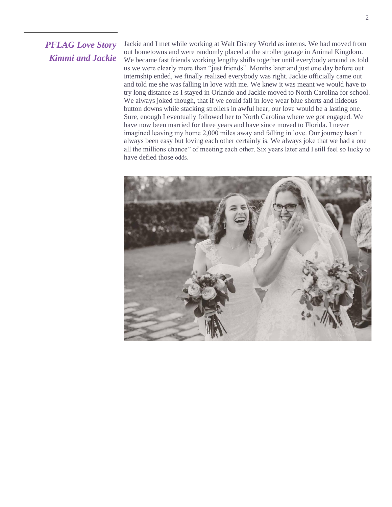#### *PFLAG Love Story Kimmi and Jackie*

Jackie and I met while working at Walt Disney World as interns. We had moved from out hometowns and were randomly placed at the stroller garage in Animal Kingdom. We became fast friends working lengthy shifts together until everybody around us told us we were clearly more than "just friends". Months later and just one day before out internship ended, we finally realized everybody was right. Jackie officially came out and told me she was falling in love with me. We knew it was meant we would have to try long distance as I stayed in Orlando and Jackie moved to North Carolina for school. We always joked though, that if we could fall in love wear blue shorts and hideous button downs while stacking strollers in awful hear, our love would be a lasting one. Sure, enough I eventually followed her to North Carolina where we got engaged. We have now been married for three years and have since moved to Florida. I never imagined leaving my home 2,000 miles away and falling in love. Our journey hasn't always been easy but loving each other certainly is. We always joke that we had a one all the millions chance" of meeting each other. Six years later and I still feel so lucky to have defied those odds.

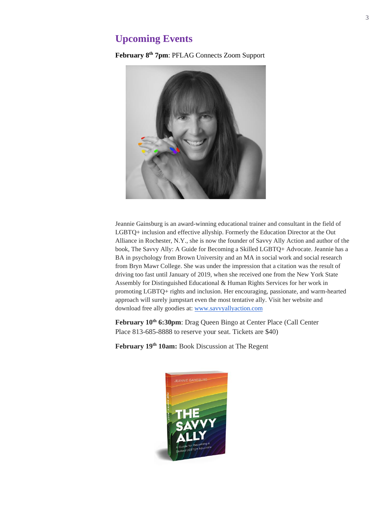#### **Upcoming Events**

**February 8 th 7pm**: PFLAG Connects Zoom Support



Jeannie Gainsburg is an award-winning educational trainer and consultant in the field of LGBTQ+ inclusion and effective allyship. Formerly the Education Director at the Out Alliance in Rochester, N.Y., she is now the founder of Savvy Ally Action and author of the book, The Savvy Ally: A Guide for Becoming a Skilled LGBTQ+ Advocate. Jeannie has a BA in psychology from Brown University and an MA in social work and social research from Bryn Mawr College. She was under the impression that a citation was the result of driving too fast until January of 2019, when she received one from the New York State Assembly for Distinguished Educational & Human Rights Services for her work in promoting LGBTQ+ rights and inclusion. Her encouraging, passionate, and warm-hearted approach will surely jumpstart even the most tentative ally. Visit her website and download free ally goodies at: [www.savvyallyaction.com](http://www.savvyallyaction.com/)

**February 10th 6:30pm**: Drag Queen Bingo at Center Place (Call Center Place 813-685-8888 to reserve your seat. Tickets are \$40)

**February 19th 10am:** Book Discussion at The Regent

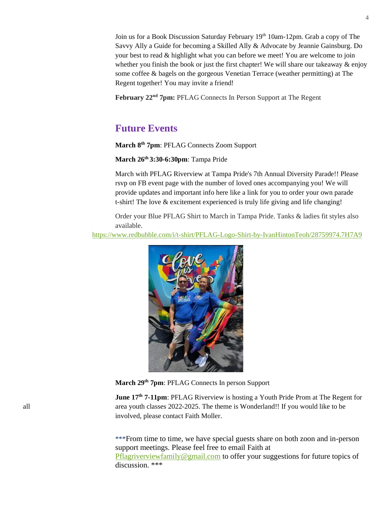Join us for a Book Discussion Saturday February 19<sup>th</sup> 10am-12pm. Grab a copy of The Savvy Ally a Guide for becoming a Skilled Ally & Advocate by Jeannie Gainsburg. Do your best to read & highlight what you can before we meet! You are welcome to join whether you finish the book or just the first chapter! We will share our takeaway  $\&$  enjoy some coffee & bagels on the gorgeous Venetian Terrace (weather permitting) at The Regent together! You may invite a friend!

**February 22nd 7pm:** PFLAG Connects In Person Support at The Regent

#### **Future Events**

**March 8th 7pm**: PFLAG Connects Zoom Support

**March 26th 3:30-6:30pm**: Tampa Pride

March with PFLAG Riverview at Tampa Pride's 7th Annual Diversity Parade!! Please rsvp on FB event page with the number of loved ones accompanying you! We will provide updates and important info here like a link for you to order your own parade t-shirt! The love & excitement experienced is truly life giving and life changing!

Order your Blue PFLAG Shirt to March in Tampa Pride. Tanks & ladies fit styles also available.

<https://www.redbubble.com/i/t-shirt/PFLAG-Logo-Shirt-by-IvanHintonTeoh/28759974.7H7A9>



**March 29th 7pm**: PFLAG Connects In person Support

**June 17<sup>th</sup> 7-11pm:** PFLAG Riverview is hosting a Youth Pride Prom at The Regent for all area youth classes 2022-2025. The theme is Wonderland!! If you would like to be involved, please contact Faith Moller.

> \*\*\*From time to time, we have special guests share on both zoon and in-person support meetings. Please feel free to email Faith at [Pflagriverviewfamily@gmail.com](mailto:Pflagriverviewfamily@gmail.com) to offer your suggestions for future topics of discussion. \*\*\*